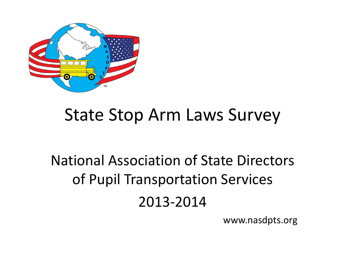

### State Stop Arm Laws Survey

## National Association of State Directors of Pupil Transportation Services 2013-2014

www.nasdpts.org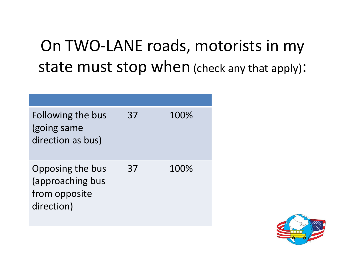### On TWO-LANE roads, motorists in my state must stop when (check any that apply):

| Following the bus<br>(going same<br>direction as bus)               | 37 | 100% |
|---------------------------------------------------------------------|----|------|
| Opposing the bus<br>(approaching bus<br>from opposite<br>direction) | 37 | 100% |

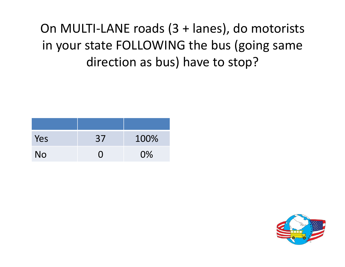#### On MULTI-LANE roads (3 + lanes), do motorists in your state FOLLOWING the bus (going same direction as bus) have to stop?

| Yes | 37  | 100%  |
|-----|-----|-------|
| No  | ( ) | $0\%$ |

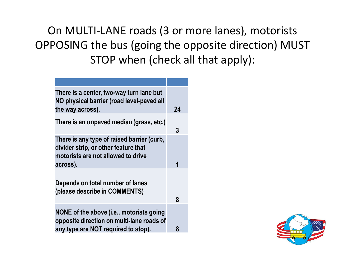On MULTI-LANE roads (3 or more lanes), motorists OPPOSING the bus (going the opposite direction) MUST STOP when (check all that apply):

| There is a center, two-way turn lane but<br>NO physical barrier (road level-paved all<br>the way across).                            | 24 |
|--------------------------------------------------------------------------------------------------------------------------------------|----|
| There is an unpaved median (grass, etc.)                                                                                             | 3  |
| There is any type of raised barrier (curb,<br>divider strip, or other feature that<br>motorists are not allowed to drive<br>across). | 1  |
| Depends on total number of lanes<br>(please describe in COMMENTS)                                                                    | 8  |
| NONE of the above (i.e., motorists going<br>opposite direction on multi-lane roads of<br>any type are NOT required to stop).         | 8  |

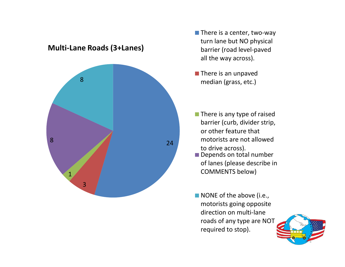

**Multi-Lane Roads (3+Lanes)**

- $\blacksquare$  There is a center, two-way turn lane but NO physical barrier (road level-paved all the way across).
- $\blacksquare$  There is an unpaved median (grass, etc.)
- $\blacksquare$  There is any type of raised barrier (curb, divider strip, or other feature that motorists are not allowed to drive across).
- Depends on total number of lanes (please describe in COMMENTS below)
- NONE of the above (i.e., motorists going opposite direction on multi-lane roads of any type are NOT required to stop).

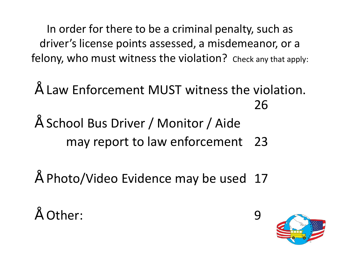In order for there to be a criminal penalty, such as driver's license points assessed, a misdemeanor, or a felony, who must witness the violation? Check any that apply:

- Law Enforcement MUST witness the violation. 26
- School Bus Driver / Monitor / Aide may report to law enforcement 23
- $"$  Photo/Video Evidence may be used 17
- " Other: 9

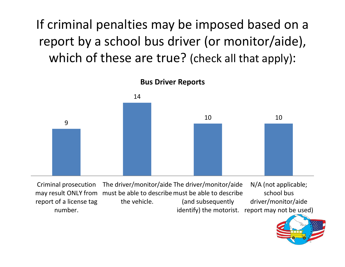If criminal penalties may be imposed based on a report by a school bus driver (or monitor/aide), which of these are true? (check all that apply):



Criminal prosecution may result ONLY from must be able to describe must be able to describe report of a license tag number. The driver/monitor/aide The driver/monitor/aide the vehicle. (and subsequently identify) the motorist. report may not be used) N/A (not applicable; school bus driver/monitor/aide

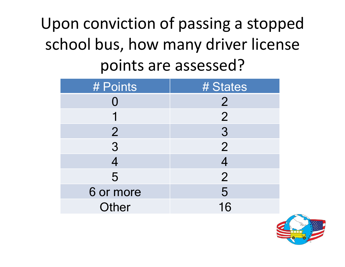## Upon conviction of passing a stopped school bus, how many driver license points are assessed?

| # Points       | # States       |
|----------------|----------------|
|                | $\overline{2}$ |
|                | $\overline{2}$ |
| $\overline{2}$ | $\overline{3}$ |
| 3              | $\overline{2}$ |
|                | 4              |
| 5              | $\overline{2}$ |
| 6 or more      | 5              |
| Other          | 16             |

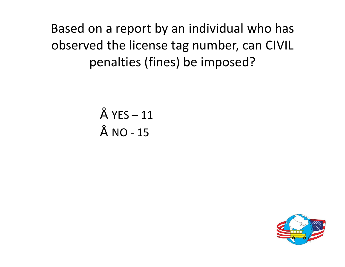Based on a report by an individual who has observed the license tag number, can CIVIL penalties (fines) be imposed?

$$
\begin{array}{c}\n\text{''} \quad \text{YES} - 11 \\
\text{''} \quad \text{NO} - 15\n\end{array}
$$

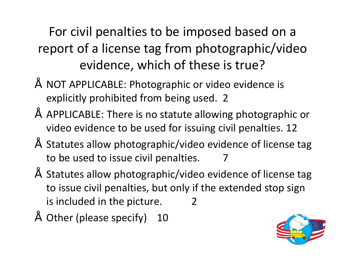For civil penalties to be imposed based on a report of a license tag from photographic/video evidence, which of these is true?

- NOT APPLICABLE: Photographic or video evidence is explicitly prohibited from being used. 2
- APPLICABLE: There is no statute allowing photographic or video evidence to be used for issuing civil penalties. 12
- Statutes allow photographic/video evidence of license tag to be used to issue civil penalties. 7
- Statutes allow photographic/video evidence of license tag to issue civil penalties, but only if the extended stop sign is included in the picture. 2
- Other (please specify) 10

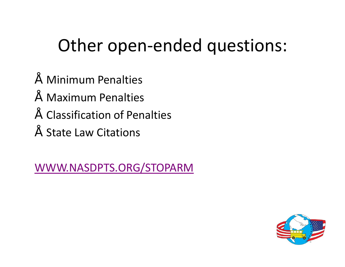## Other open-ended questions:

- Minimum Penalties
- Maximum Penalties
- Classification of Penalties
- State Law Citations

WWW.NASDPTS.ORG/STOPARM